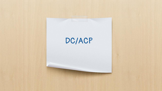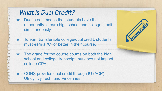## What is Dual Credit?

- Dual credit means that students have the opportunity to earn high school and college credit simultaneously.
- ★ To earn transferable college/dual credit, students must earn a "C" or better in their course.
- $\star$  The grade for the course counts on both the high school and college transcript, but does not impact college GPA.
- ★ CGHS provides dual credit through IU (ACP), UIndy, Ivy Tech, and Vincennes.

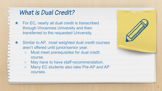| What is Dual Credit?                                                                                                                                                                                                                                                       |  |  |
|----------------------------------------------------------------------------------------------------------------------------------------------------------------------------------------------------------------------------------------------------------------------------|--|--|
| $\star$ For EC, nearly all dual credit is transcribed<br>through Vincennes University and then<br>transferred to the requested University.                                                                                                                                 |  |  |
| Similar to AP, most weighted dual credit courses<br>aren't offered until junior/senior year.<br>Must meet prerequisites for dual credit<br>course.<br>May have to have staff recommendation.<br>$\circ$<br>Many EC students also take Pre-AP and AP<br>$\circ$<br>courses. |  |  |
|                                                                                                                                                                                                                                                                            |  |  |

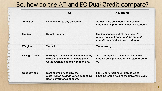## So, how do the AP and EC Dual Credit compare?

|                       | <b>AP</b>                                                                                                               | <b>Dual Credit</b>                                                                                                           |
|-----------------------|-------------------------------------------------------------------------------------------------------------------------|------------------------------------------------------------------------------------------------------------------------------|
| <b>Affiliation</b>    | No affiliation to any university                                                                                        | Students are considered high school<br>students and part-time Vincennes students                                             |
| <b>Grades</b>         | Do not transfer                                                                                                         | Grades become part of the student's<br>official college transcript if the student<br>attends the credit issuing institution. |
| Weighted              | Yes--all                                                                                                                | <b>Yes--majority</b>                                                                                                         |
| <b>College Credit</b> | Earning a 3-5 on exam. Each university<br>varies in the amount of credit given.<br>Coursework is nationally recognized. | A "C" or higher in the course earns the<br>student college credit transcripted through<br>VU.                                |
| <b>Cost Savings</b>   | Most exams are paid by the<br>state--tuition savings varies depending<br>upon performance of exam.                      | \$25-75 per credit hour. Compared to<br>\$200-400 credit hour at the university level.                                       |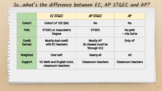## So...what's the difference between EC, AP STGEC and AP?

|                                | <b>EC STGEC</b>                                  | AP STGEC                                              | AP                        |
|--------------------------------|--------------------------------------------------|-------------------------------------------------------|---------------------------|
| Cohort                         | Cohort of 125 (ish)                              | <b>No</b>                                             | <b>No</b>                 |
| Path                           | <b>STGEC or Associate's</b><br>Degree            | <b>STGEC</b>                                          | No path<br>--Ala Carte    |
| <b>Credit</b><br><b>Earned</b> | Mostly dual credit<br>with EC teachers           | <b>Mostly AP</b><br>(6 classes must be<br>through VU) | <b>Only AP</b>            |
| Weighted                       | Over half                                        | Nearly all                                            | <b>All</b>                |
| Support                        | VU Math and English tutor,<br>classroom teachers | <b>Classroom teachers</b>                             | <b>Classroom teachers</b> |

G